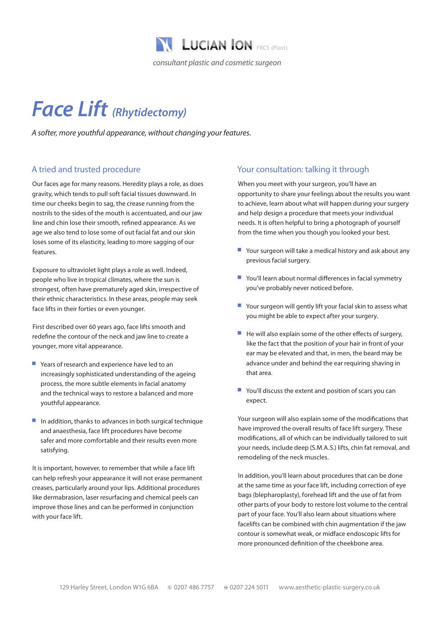

# *Face Lift (Rhytidectomy)*

*A softer, more youthful appearance, without changing your features.* 

### A tried and trusted procedure

Our faces age for many reasons. Heredity plays a role, as does gravity, which tends to pull soft facial tissues downward. In time our cheeks begin to sag, the crease running from the nostrils to the sides of the mouth is accentuated, and our jaw line and chin lose their smooth, refined appearance. As we age we also tend to lose some of out facial fat and our skin loses some of its elasticity, leading to more sagging of our features.

Exposure to ultraviolet light plays a role as well. Indeed, people who live in tropical climates, where the sun is strongest, often have prematurely aged skin, irrespective of their ethnic characteristics. In these areas, people may seek face lifts in their forties or even younger.

First described over 60 years ago, face lifts smooth and redefine the contour of the neck and jaw line to create a younger, more vital appearance.

- Years of research and experience have led to an increasingly sophisticated understanding of the ageing process, the more subtle elements in facial anatomy and the technical ways to restore a balanced and more youthful appearance.
- $\blacksquare$  In addition, thanks to advances in both surgical technique and anaesthesia, face lift procedures have become safer and more comfortable and their results even more satisfying.

It is important, however, to remember that while a face lift can help refresh your appearance it will not erase permanent creases, particularly around your lips. Additional procedures like dermabrasion, laser resurfacing and chemical peels can improve those lines and can be performed in conjunction with your face lift.

#### Your consultation: talking it through

When you meet with your surgeon, you'll have an opportunity to share your feelings about the results you want to achieve, learn about what will happen during your surgery and help design a procedure that meets your individual needs. It is often helpful to bring a photograph of yourself from the time when you though you looked your best.

- $\blacksquare$  Your surgeon will take a medical history and ask about any previous facial surgery.
- You'll learn about normal differences in facial symmetry you've probably never noticed before.
- Your surgeon will gently lift your facial skin to assess what you might be able to expect after your surgery.
- $\blacksquare$  He will also explain some of the other effects of surgery, like the fact that the position of your hair in front of your ear may be elevated and that, in men, the beard may be advance under and behind the ear requiring shaving in that area.
- $\blacksquare$  You'll discuss the extent and position of scars you can expect.

Your surgeon will also explain some of the modifications that have improved the overall results of face lift surgery. These modifications, all of which can be individually tailored to suit your needs, include deep (S.M.A.S.) lifts, chin fat removal, and remodeling of the neck muscles.

In addition, you'll learn about procedures that can be done at the same time as your face lift, including correction of eye bags (blepharoplasty), forehead lift and the use of fat from other parts of your body to restore lost volume to the central part of your face. You'll also learn about situations where facelifts can be combined with chin augmentation if the jaw contour is somewhat weak, or midface endoscopic lifts for more pronounced definition of the cheekbone area.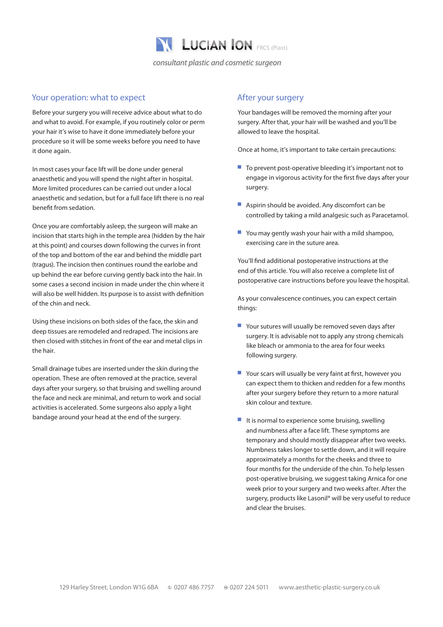

#### Your operation: what to expect

Before your surgery you will receive advice about what to do and what to avoid. For example, if you routinely color or perm your hair it's wise to have it done immediately before your procedure so it will be some weeks before you need to have it done again.

In most cases your face lift will be done under general anaesthetic and you will spend the night after in hospital. More limited procedures can be carried out under a local anaesthetic and sedation, but for a full face lift there is no real benefit from sedation.

Once you are comfortably asleep, the surgeon will make an incision that starts high in the temple area (hidden by the hair at this point) and courses down following the curves in front of the top and bottom of the ear and behind the middle part (tragus). The incision then continues round the earlobe and up behind the ear before curving gently back into the hair. In some cases a second incision in made under the chin where it will also be well hidden. Its purpose is to assist with definition of the chin and neck.

Using these incisions on both sides of the face, the skin and deep tissues are remodeled and redraped. The incisions are then closed with stitches in front of the ear and metal clips in the hair.

Small drainage tubes are inserted under the skin during the operation. These are often removed at the practice, several days after your surgery, so that bruising and swelling around the face and neck are minimal, and return to work and social activities is accelerated. Some surgeons also apply a light bandage around your head at the end of the surgery.

#### After your surgery

Your bandages will be removed the morning after your surgery. After that, your hair will be washed and you'll be allowed to leave the hospital.

Once at home, it's important to take certain precautions:

- $\blacksquare$  To prevent post-operative bleeding it's important not to engage in vigorous activity for the first five days after your surgery.
- $\blacksquare$  Aspirin should be avoided. Any discomfort can be controlled by taking a mild analgesic such as Paracetamol.
- $\blacksquare$  You may gently wash your hair with a mild shampoo, exercising care in the suture area.

You'll find additional postoperative instructions at the end of this article. You will also receive a complete list of postoperative care instructions before you leave the hospital.

As your convalescence continues, you can expect certain things:

- $\blacksquare$  Your sutures will usually be removed seven days after surgery. It is advisable not to apply any strong chemicals like bleach or ammonia to the area for four weeks following surgery.
- $\blacksquare$  Your scars will usually be very faint at first, however you can expect them to thicken and redden for a few months after your surgery before they return to a more natural skin colour and texture.
- $\blacksquare$  It is normal to experience some bruising, swelling and numbness after a face lift. These symptoms are temporary and should mostly disappear after two weeks. Numbness takes longer to settle down, and it will require approximately a months for the cheeks and three to four months for the underside of the chin. To help lessen post-operative bruising, we suggest taking Arnica for one week prior to your surgery and two weeks after. After the surgery, products like Lasonil® will be very useful to reduce and clear the bruises.